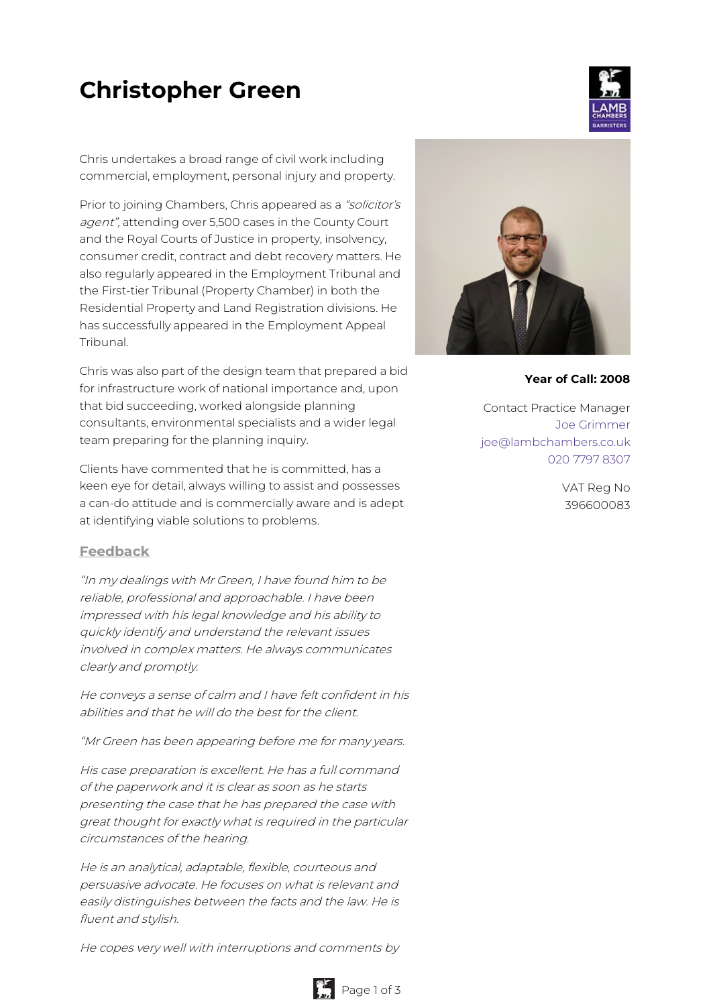# **Christopher Green**



Chris undertakes a broad range of civil work including commercial, employment, personal injury and property.

Prior to joining Chambers, Chris appeared as a "solicitor's agent", attending over 5,500 cases in the County Court and the Royal Courts of Justice in property, insolvency, consumer credit, contract and debt recovery matters. He also regularly appeared in the Employment Tribunal and the First-tier Tribunal (Property Chamber) in both the Residential Property and Land Registration divisions. He has successfully appeared in the Employment Appeal Tribunal.

Chris was also part of the design team that prepared a bid for infrastructure work of national importance and, upon that bid succeeding, worked alongside planning consultants, environmental specialists and a wider legal team preparing for the planning inquiry.

Clients have commented that he is committed, has a keen eye for detail, always willing to assist and possesses a can-do attitude and is commercially aware and is adept at identifying viable solutions to problems.

### **Feedback**

"In my dealings with Mr Green, I have found him to be reliable, professional and approachable. I have been impressed with his legal knowledge and his ability to quickly identify and understand the relevant issues involved in complex matters. He always communicates clearly and promptly.

He conveys <sup>a</sup> sense of calm and I have felt confident in his abilities and that he will do the best for the client.

"Mr Green has been appearing before me for many years.

His case preparation is excellent. He has <sup>a</sup> full command of the paperwork and it is clear as soon as he starts presenting the case that he has prepared the case with great thought for exactly what is required in the particular circumstances of the hearing.

He is an analytical, adaptable, flexible, courteous and persuasive advocate. He focuses on what is relevant and easily distinguishes between the facts and the law. He is fluent and stylish.

He copes very well with interruptions and comments by



**Year of Call: 2008**

Contact Practice Manager Joe [Grimmer](mailto:joe@lambchambers.co.uk) [joe@lambchambers.co.uk](mailto:joe@lambchambers.co.uk) 020 7797 [8307](tel:020%207797%208307)

> VAT Reg No 396600083

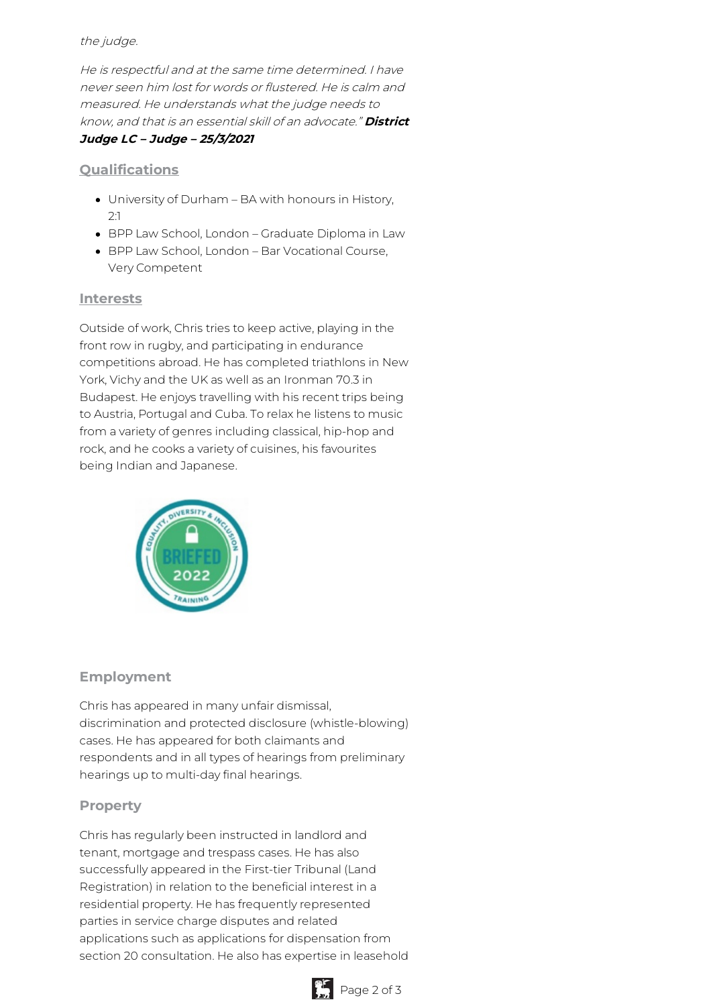### the judge.

He is respectful and at the same time determined. I have never seen him lost for words or flustered. He is calm and measured. He understands what the judge needs to know, and that is an essential skill of an advocate." **District Judge LC – Judge – 25/3/2021**

## **Qualifications**

- University of Durham BA with honours in History, 2:1
- BPP Law School, London Graduate Diploma in Law
- BPP Law School, London Bar Vocational Course, Very Competent

## **Interests**

Outside of work, Chris tries to keep active, playing in the front row in rugby, and participating in endurance competitions abroad. He has completed triathlons in New York, Vichy and the UK as well as an Ironman 70.3 in Budapest. He enjoys travelling with his recent trips being to Austria, Portugal and Cuba. To relax he listens to music from a variety of genres including classical, hip-hop and rock, and he cooks a variety of cuisines, his favourites being Indian and Japanese.



# **Employment**

Chris has appeared in many unfair dismissal, discrimination and protected disclosure (whistle-blowing) cases. He has appeared for both claimants and respondents and in all types of hearings from preliminary hearings up to multi-day final hearings.

# **Property**

Chris has regularly been instructed in landlord and tenant, mortgage and trespass cases. He has also successfully appeared in the First-tier Tribunal (Land Registration) in relation to the beneficial interest in a residential property. He has frequently represented parties in service charge disputes and related applications such as applications for dispensation from section 20 consultation. He also has expertise in leasehold